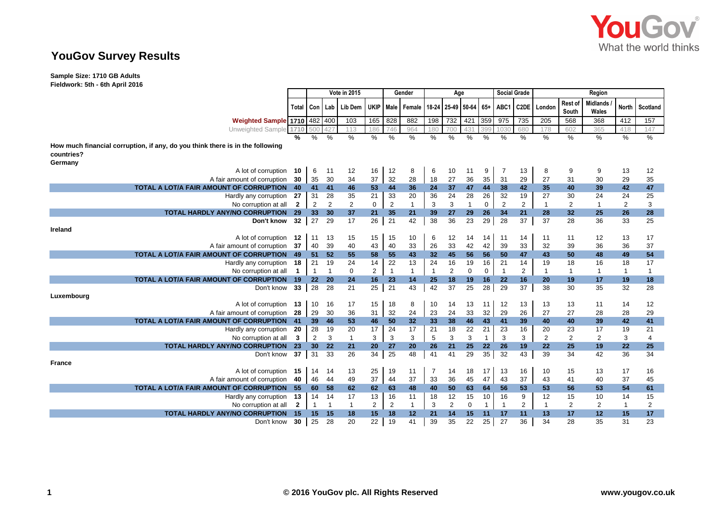

# **YouGov Survey Results**

**Sample Size: 1710 GB Adults Fieldwork: 5th - 6th April 2016**

|                                                                               |              |                 |                | Vote in 2015   |                | Gender         |               |                | Age                   |                |              | <b>Social Grade</b> |                   | Region         |                  |                          |                |                 |
|-------------------------------------------------------------------------------|--------------|-----------------|----------------|----------------|----------------|----------------|---------------|----------------|-----------------------|----------------|--------------|---------------------|-------------------|----------------|------------------|--------------------------|----------------|-----------------|
|                                                                               | Total        | Con             |                | Lab   Lib Dem  | <b>UKIP</b>    |                | Male Female   |                | 18-24 25-49 50-64 65+ |                |              | ABC1                | C <sub>2</sub> DE | London         | Rest of<br>South | <b>Midlands</b><br>Wales | <b>North</b>   | Scotland        |
| <b>Weighted Sample 1710 482 400</b>                                           |              |                 |                | 103            | 165            | 828            | 882           | 198            | 732                   | 421            | 359          | 975                 | 735               | 205            | 568              | 368                      | 412            | 157             |
| Unweighted Sample 1710                                                        |              |                 |                | 113            | 186            | 746            | 964           | 180            |                       | 431            | 399          | 1030                | 680               | 178            | 602              | 365                      | 418            | 147             |
|                                                                               | %            | $\%$            | $\%$           | $\%$           | $\%$           | $\%$           | $\frac{0}{0}$ | %              | %                     | $\%$           | $\%$         | $\%$                | $\frac{0}{0}$     | %              | %                | $\%$                     | %              | $\frac{9}{6}$   |
| How much financial corruption, if any, do you think there is in the following |              |                 |                |                |                |                |               |                |                       |                |              |                     |                   |                |                  |                          |                |                 |
| countries?                                                                    |              |                 |                |                |                |                |               |                |                       |                |              |                     |                   |                |                  |                          |                |                 |
| Germany                                                                       |              |                 |                |                |                |                |               |                |                       |                |              |                     |                   |                |                  |                          |                |                 |
| A lot of corruption 10                                                        |              | 6               | 11             | 12             | 16             | 12             | 8             | 6              | 10                    | 11             | 9            | 7                   | 13                | 8              | 9                | 9                        | 13             | 12              |
| A fair amount of corruption                                                   | 30           | 35              | 30             | 34             | 37             | 32             | 28            | 18             | 27                    | 36             | 35           | 31                  | 29                | 27             | 31               | 30                       | 29             | 35              |
| TOTAL A LOT/A FAIR AMOUNT OF CORRUPTION                                       | 40           | 41 41           |                | 46             | 53             | 44             | 36            | 24             | 37                    | 47             | 44           | 38                  | 42                | 35             | 40               | 39                       | 42             | 47              |
| Hardly any corruption                                                         | 27           | 31              | 28             | 35             | 21             | 33             | 20            | 36             | 24                    | 28             | 26           | 32                  | 19                | 27             | 30               | 24                       | 24             | 25              |
| No corruption at all                                                          | $\mathbf{2}$ | $\overline{2}$  | $\overline{2}$ | $\overline{2}$ | 0              | $\overline{2}$ | $\mathbf{1}$  | 3              | 3                     | $\overline{1}$ | $\mathbf 0$  | $\overline{2}$      | $\overline{2}$    | $\mathbf{1}$   | 2                | $\overline{1}$           | $\overline{2}$ | 3               |
| <b>TOTAL HARDLY ANY/NO CORRUPTION</b>                                         | 29           | 33 <sup>2</sup> | 30             | 37             | 21             | 35             | 21            | 39             | 27                    | 29             | 26           | 34                  | 21                | 28             | 32               | 25                       | 26             | 28              |
| Don't know                                                                    | 32           | 27              | 29             | 17             | 26             | 21             | 42            | 38             | 36                    | 23             | 29           | 28                  | 37                | 37             | 28               | 36                       | 33             | 25              |
| Ireland                                                                       |              |                 |                |                |                |                |               |                |                       |                |              |                     |                   |                |                  |                          |                |                 |
| A lot of corruption                                                           | 12           | 11              | 13             | 15             | 15             | 15             | 10            | 6              | 12                    | 14             | 14           | 11                  | 14                | 11             | 11               | 12                       | 13             | 17              |
| A fair amount of corruption                                                   | 37           | 40              | 39             | 40             | 43             | 40             | 33            | 26             | 33                    | 42             | 42           | 39                  | 33                | 32             | 39               | 36                       | 36             | 37              |
| TOTAL A LOT/A FAIR AMOUNT OF CORRUPTION                                       | 49           | 51              | 52             | 55             | 58             | 55             | 43            | 32             | 45                    | 56             | 56           | 50                  | 47                | 43             | 50               | 48                       | 49             | 54              |
| Hardly any corruption                                                         | 18           | 21              | 19             | 24             | 14             | 22             | 13            | 24             | 16                    | 19             | 16           | 21                  | 14                | 19             | 18               | 16                       | 18             | 17              |
| No corruption at all                                                          |              | $\mathbf{1}$    | $\overline{1}$ | $\mathbf 0$    | $\overline{2}$ | $\overline{1}$ | $\mathbf{1}$  | $\overline{1}$ | 2                     | 0              | $\mathbf 0$  | $\mathbf{1}$        | $\overline{2}$    | $\mathbf{1}$   | $\mathbf{1}$     | $\overline{1}$           | 1              | $\mathbf{1}$    |
| TOTAL A LOT/A FAIR AMOUNT OF CORRUPTION                                       | 19           | 22 <sup>2</sup> | 20             | 24             | 16             | 23             | 14            | 25             | 18                    | 19             | 16           | 22                  | 16                | 20             | 19               | 17                       | 19             | 18              |
| Don't know                                                                    | 33           | 28              | 28             | 21             | 25             | 21             | 43            | 42             | 37                    | 25             | 28           | 29                  | 37                | 38             | 30               | 35                       | 32             | 28              |
| Luxembourg                                                                    |              |                 |                |                |                |                |               |                |                       |                |              |                     |                   |                |                  |                          |                |                 |
| A lot of corruption                                                           | 13           | 10              | 16             | 17             | 15             | 18             | 8             | 10             | 14                    | 13             | 11           | 12                  | 13                | 13             | 13               | 11                       | 14             | 12              |
| A fair amount of corruption                                                   | 28           | 29              | 30             | 36             | 31             | 32             | 24            | 23             | 24                    | 33             | 32           | 29                  | 26                | 27             | 27               | 28                       | 28             | 29              |
| TOTAL A LOT/A FAIR AMOUNT OF CORRUPTION                                       | 41           | 39              | 46             | 53             | 46             | 50             | 32            | 33             | 38                    | 46             | 43           | 41                  | 39                | 40             | 40               | 39                       | 42             | 41              |
| Hardly any corruption                                                         | 20           | 28              | 19             | 20             | 17             | 24             | 17            | 21             | 18                    | 22             | 21           | 23                  | 16                | 20             | 23               | 17                       | 19             | 21              |
| No corruption at all                                                          | 3            | $\overline{2}$  | 3              | $\mathbf{1}$   | 3              | 3              | 3             | 5              | 3                     | 3              | $\mathbf{1}$ | 3                   | 3                 | $\overline{2}$ | $\overline{2}$   | 2                        | 3              | 4               |
| <b>TOTAL HARDLY ANY/NO CORRUPTION</b>                                         | 23           | 30 <sup>°</sup> | 22             | 21             | 20             | 27             | 20            | 26             | 21                    | 25             | 22           | 26                  | 19                | 22             | 25               | 19                       | 22             | 25              |
| Don't know                                                                    | 37           | 31              | 33             | 26             | 34             | 25             | 48            | 41             | 41                    | 29             | 35           | 32                  | 43                | 39             | 34               | 42                       | 36             | 34              |
| <b>France</b>                                                                 |              |                 |                |                |                |                |               |                |                       |                |              |                     |                   |                |                  |                          |                |                 |
| A lot of corruption                                                           | 15           | 14              | 14             | 13             | 25             | 19             | 11            | -7             | 14                    | 18             | 17           | 13                  | 16                | 10             | 15               | 13                       | 17             | 16              |
| A fair amount of corruption                                                   | 40           | 46              | 44             | 49             | 37             | 44             | 37            | 33             | 36                    | 45             | 47           | 43                  | 37                | 43             | 41               | 40                       | 37             | 45              |
| TOTAL A LOT/A FAIR AMOUNT OF CORRUPTION                                       | 55           | 60              | 58             | 62             | 62             | 63             | 48            | 40             | 50                    | 63             | 64           | 56                  | 53                | 53             | 56               | 53                       | 54             | 61              |
| Hardly any corruption                                                         | 13           | 14              | 14             | 17             | 13             | 16             | 11            | 18             | 12                    | 15             | 10           | 16                  | 9                 | 12             | 15               | 10                       | 14             | 15              |
| No corruption at all                                                          | $\mathbf{2}$ | 1               | -1             | $\mathbf{1}$   | $\overline{2}$ | $\overline{2}$ | $\mathbf{1}$  | 3              | 2                     | 0              | 1            | $\mathbf{1}$        | $\overline{2}$    | $\mathbf{1}$   | $\overline{2}$   | 2                        | $\mathbf{1}$   | 2               |
| <b>TOTAL HARDLY ANY/NO CORRUPTION</b>                                         | 15           | 15              | 15             | 18             | 15             | 18             | 12            | 21             | 14                    | 15             | 11           | 17                  | 11                | 13             | 17               | 12                       | 15             | 17 <sub>2</sub> |
| Don't know                                                                    | 30           | 25              | 28             | 20             | 22             | 19             | 41            | 39             | 35                    | 22             | 25           | 27                  | 36                | 34             | 28               | 35                       | 31             | 23              |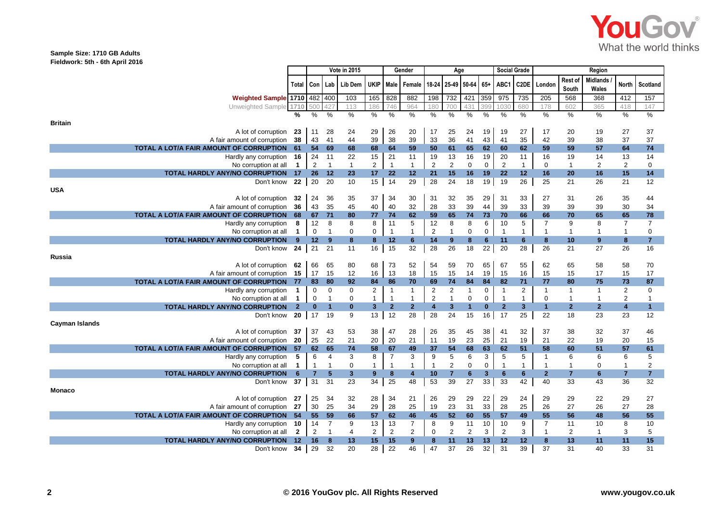

### **Sample Size: 1710 GB Adults Fieldwork: 5th - 6th April 2016**

|                |                                               |                  |                 |                      | <b>Vote in 2015</b> | Gender<br>Age        |                   |                    |                                  |                   | <b>Social Grade</b>  |             | Region         |                      |                    |                    |                          |                      |                |
|----------------|-----------------------------------------------|------------------|-----------------|----------------------|---------------------|----------------------|-------------------|--------------------|----------------------------------|-------------------|----------------------|-------------|----------------|----------------------|--------------------|--------------------|--------------------------|----------------------|----------------|
|                |                                               | Total            | Con             | Lab                  | Lib Dem             | <b>UKIP</b>          |                   | Male Female        |                                  | 18-24 25-49 50-64 |                      | $65+$       | ABC1           | C <sub>2</sub> DE    | London             | Rest of<br>South   | <b>Midlands</b><br>Wales | <b>North</b>         | Scotland       |
|                | <b>Weighted Sample 1710 482 400</b>           |                  |                 |                      | 103                 | 165                  | 828               | 882                | 198                              | 732               | 421                  | 359         | 975            | 735                  | 205                | 568                | 368                      | 412                  | 157            |
|                | Unweighted Sample 1710                        |                  | 500             | 427                  | 113                 | 186                  | 746               | 964                | 180                              | 700               | 431                  | 399         | 1030           | 680                  | 178                | 602                | 365                      | 418                  | 147            |
|                |                                               | %                | %               | %                    | $\%$                | %                    | %                 | %                  | $\%$                             | %                 | %                    | %           | %              | $\%$                 | $\%$               | %                  | $\%$                     | %                    | %              |
| <b>Britain</b> |                                               |                  |                 |                      |                     |                      |                   |                    |                                  |                   |                      |             |                |                      |                    |                    |                          |                      |                |
|                | A lot of corruption                           | 23               | 11              | 28                   | 24                  | 29                   | 26                | 20                 | 17                               | 25                | 24                   | 19          | 19             | 27                   | 17                 | 20                 | 19                       | 27                   | 37             |
|                | A fair amount of corruption                   | 38               | 43              | 41                   | 44                  | 39                   | 38                | 39                 | 33                               | 36                | 41                   | 43          | 41             | 35                   | 42                 | 39                 | 38                       | 37                   | 37             |
|                | TOTAL A LOT/A FAIR AMOUNT OF CORRUPTION       | 61               | 54              | 69                   | 68                  | 68                   | 64                | 59                 | 50                               | 61                | 65                   | 62          | 60             | 62                   | 59                 | 59                 | 57                       | 64                   | 74             |
|                | Hardly any corruption                         | 16               | 24              | 11                   | 22                  | 15                   | 21                | 11                 | 19                               | 13                | 16                   | 19          | 20             | 11                   | 16                 | 19                 | 14                       | 13                   | 14             |
|                | No corruption at all                          | $\mathbf 1$      | $\overline{c}$  | $\mathbf{1}$         | $\overline{1}$      | $\overline{2}$       | $\overline{1}$    | $\mathbf{1}$       | $\overline{2}$                   | $\overline{2}$    | $\mathbf 0$          | $\mathbf 0$ | $\overline{2}$ | $\mathbf{1}$         | $\mathbf 0$        | $\overline{1}$     | 2                        | $\overline{2}$       | $\mathbf 0$    |
|                | <b>TOTAL HARDLY ANY/NO CORRUPTION</b>         | 17               | 26              | 12                   | 23                  | 17                   | 22                | 12                 | 21                               | 15                | 16                   | 19          | 22             | 12                   | 16                 | 20                 | 16                       | 15                   | 14             |
|                | Don't know                                    | 22               | 20              | 20                   | 10                  | 15                   | 14                | 29                 | 28                               | 24                | 18                   | 19          | 19             | 26                   | 25                 | 21                 | 26                       | 21                   | 12             |
| <b>USA</b>     |                                               |                  |                 |                      |                     |                      |                   |                    |                                  |                   |                      |             |                |                      |                    |                    |                          |                      |                |
|                | A lot of corruption                           | 32               | 24              | 36                   | 35                  | 37                   | 34                | 30                 | 31                               | 32                | 35                   | 29          | 31             | 33                   | 27                 | 31                 | 26                       | 35                   | 44             |
|                | A fair amount of corruption                   | 36               | 43              | 35                   | 45                  | 40                   | 40                | 32                 | 28                               | 33                | 39                   | 44          | 39             | 33                   | 39                 | 39                 | 39                       | 30                   | 34             |
|                | TOTAL A LOT/A FAIR AMOUNT OF CORRUPTION       | 68               | 67              | 71                   | 80                  | 77                   | 74                | 62                 | 59                               | 65                | 74                   | 73          | 70             | 66                   | 66                 | 70                 | 65                       | 65                   | 78             |
|                | Hardly any corruption                         | 8                | 12              | 8                    | 8                   | 8                    | 11                | 5                  | 12                               | 8                 | 8                    | 6           | 10             | 5                    | $\overline{7}$     | 9                  | 8                        | $\overline{7}$       | $\overline{7}$ |
|                | No corruption at all                          | $\mathbf{1}$     | $\mathbf 0$     | $\overline{1}$       | $\mathbf 0$         | $\mathbf 0$          | $\overline{1}$    | $\mathbf{1}$       | $\overline{2}$                   | $\mathbf{1}$      | $\mathbf 0$          | $\Omega$    | $\overline{1}$ | $\mathbf{1}$         | $\mathbf{1}$       | $\mathbf{1}$       | $\mathbf{1}$             | $\overline{1}$       | $\mathbf 0$    |
|                | <b>TOTAL HARDLY ANY/NO CORRUPTION</b>         | 9                | 12 <sup>2</sup> | $\bf{9}$             | 8                   | 8                    | 12                | 6                  | 14                               | 9 <sup>°</sup>    | 8                    | 6           | 11             | $6\phantom{.}6$      | 8                  | 10                 | 9                        | 8                    | $\overline{7}$ |
|                | Don't know                                    | 24               | 21              | 21                   | 11                  | 16                   | 15                | 32                 | 28                               | 26                | 18                   | 22          | 20             | 28                   | 26                 | 21                 | 27                       | 26                   | 16             |
| Russia         |                                               |                  |                 |                      |                     |                      |                   |                    |                                  |                   |                      |             |                |                      |                    |                    |                          |                      |                |
|                | A lot of corruption 62                        |                  | 66              | 65                   | 80                  | 68                   | 73                | 52<br>18           | 54                               | 59                | 70                   | 65          | 67             | 55<br>16             | 62                 | 65                 | 58                       | 58                   | 70             |
|                | A fair amount of corruption                   | 15               | 17              | 15                   | 12<br>92            | 16                   | 13                |                    | 15                               | 15                | 14                   | 19          | 15             |                      | 15                 | 15                 | 17                       | 15                   | 17             |
|                | TOTAL A LOT/A FAIR AMOUNT OF CORRUPTION       | 77               | 83<br>0         | 80<br>$\mathbf 0$    | 0                   | 84<br>$\overline{2}$ | 86<br>$\mathbf 1$ | 70<br>$\mathbf{1}$ | 69                               | 74<br>2           | 84<br>$\mathbf{1}$   | 84<br>0     | 82<br>1        | 71<br>$\overline{2}$ | 77<br>$\mathbf{1}$ | 80<br>$\mathbf{1}$ | 75<br>$\mathbf{1}$       | 73<br>$\overline{2}$ | 87<br>0        |
|                | Hardly any corruption<br>No corruption at all | 1<br>$\mathbf 1$ | $\mathbf 0$     | $\overline{1}$       | 0                   | $\mathbf{1}$         | $\overline{1}$    | $\mathbf{1}$       | $\overline{2}$<br>$\overline{2}$ | $\mathbf{1}$      | $\mathbf 0$          | $\mathbf 0$ | $\mathbf{1}$   | $\mathbf{1}$         | $\mathbf 0$        | $\mathbf{1}$       | $\mathbf{1}$             | 2                    | $\overline{1}$ |
|                | <b>TOTAL HARDLY ANY/NO CORRUPTION</b>         | $\overline{2}$   | $\mathbf{0}$    | $\blacktriangleleft$ | $\bf{0}$            | 3                    | $\mathbf{2}$      | $\mathbf{2}$       | 4                                | 3                 | $\blacktriangleleft$ | $\bf{0}$    | $\overline{2}$ | $\mathbf{3}$         | $\mathbf{1}$       | $\mathbf{2}$       | $\overline{2}$           | $\boldsymbol{4}$     | $\mathbf{1}$   |
|                | Don't know                                    | 20               | 17              | 19                   | 9                   | 13                   | 12                | 28                 | 28                               | 24                | 15                   | 16          | 17             | 25                   | 22                 | 18                 | 23                       | 23                   | 12             |
| Cayman Islands |                                               |                  |                 |                      |                     |                      |                   |                    |                                  |                   |                      |             |                |                      |                    |                    |                          |                      |                |
|                | A lot of corruption                           | 37               | 37              | 43                   | 53                  | 38                   | 47                | 28                 | 26                               | 35                | 45                   | 38          | 41             | 32                   | 37                 | 38                 | 32                       | 37                   | 46             |
|                | A fair amount of corruption                   | 20               | 25              | 22                   | 21                  | 20                   | 20                | 21                 | 11                               | 19                | 23                   | 25          | 21             | 19                   | 21                 | 22                 | 19                       | 20                   | 15             |
|                | TOTAL A LOT/A FAIR AMOUNT OF CORRUPTION       | 57               | 62              | 65                   | 74                  | 58                   | 67                | 49                 | 37                               | 54                | 68                   | 63          | 62             | 51                   | 58                 | 60                 | 51                       | 57                   | 61             |
|                | Hardly any corruption                         | 5                | 6               | $\overline{4}$       | 3                   | 8                    | $\overline{7}$    | 3                  | 9                                | 5                 | 6                    | 3           | 5              | 5                    | $\overline{1}$     | 6                  | 6                        | 6                    | 5              |
|                | No corruption at all                          | $\mathbf{1}$     | $\overline{1}$  | $\mathbf{1}$         | $\mathbf 0$         | $\mathbf{1}$         | $\mathbf{1}$      | $\mathbf{1}$       | $\overline{1}$                   | $\overline{2}$    | $\mathbf 0$          | $\mathbf 0$ | $\mathbf{1}$   | $\mathbf{1}$         | $\overline{1}$     | $\mathbf{1}$       | 0                        | $\mathbf{1}$         | $\overline{2}$ |
|                | <b>TOTAL HARDLY ANY/NO CORRUPTION</b>         | 6                | $\overline{7}$  | 5                    | 3                   | 9                    | 8                 | 4                  | 10 <sup>°</sup>                  | $\overline{7}$    | 6                    | 3           | 6              | 6                    | $\mathbf{2}$       | $\overline{7}$     | 6                        | $\overline{7}$       | $\overline{7}$ |
|                | Don't know                                    | 37               | 31              | 31                   | 23                  | 34                   | 25                | 48                 | 53                               | 39                | 27                   | 33          | 33             | 42                   | 40                 | 33                 | 43                       | 36                   | 32             |
| <b>Monaco</b>  |                                               |                  |                 |                      |                     |                      |                   |                    |                                  |                   |                      |             |                |                      |                    |                    |                          |                      |                |
|                | A lot of corruption                           | 27               | 25              | 34                   | 32                  | 28                   | 34                | 21                 | 26                               | 29                | 29                   | 22          | 29             | 24                   | 29                 | 29                 | 22                       | 29                   | 27             |
|                | A fair amount of corruption                   | 27               | 30              | 25                   | 34                  | 29                   | 28                | 25                 | 19                               | 23                | 31                   | 33          | 28             | 25                   | 26                 | 27                 | 26                       | 27                   | 28             |
|                | TOTAL A LOT/A FAIR AMOUNT OF CORRUPTION       | -54              | 55              | 59                   | 66                  | 57                   | 62                | 46                 | 45                               | 52                | 60                   | 55          | 57             | 49                   | 55                 | 56                 | 48                       | 56                   | 55             |
|                | Hardly any corruption                         | 10               | 14              | $\overline{7}$       | 9                   | 13                   | 13                | $\overline{7}$     | 8                                | 9                 | 11                   | 10          | 10             | 9                    | $\overline{7}$     | 11                 | 10                       | 8                    | 10             |
|                | No corruption at all                          | $\overline{2}$   | 2               | $\mathbf{1}$         | 4                   | $\overline{2}$       | 2                 | 2                  | 0                                | $\overline{2}$    | 2                    | 3           | 2              | 3                    | $\overline{1}$     | $\overline{2}$     | $\mathbf{1}$             | 3                    | 5              |
|                | <b>TOTAL HARDLY ANY/NO CORRUPTION</b>         | 12               | 16              | 8                    | 13                  | 15                   | 15                | 9                  | 8                                | 11                | 13                   | 13          | 12             | 12                   | 8                  | 13                 | 11                       | 11                   | 15             |
|                | Don't know                                    | 34               | 29              | 32                   | 20                  | 28                   | 22                | 46                 | 47                               | 37                | 26                   | 32          | 31             | 39                   | 37                 | 31                 | 40                       | 33                   | 31             |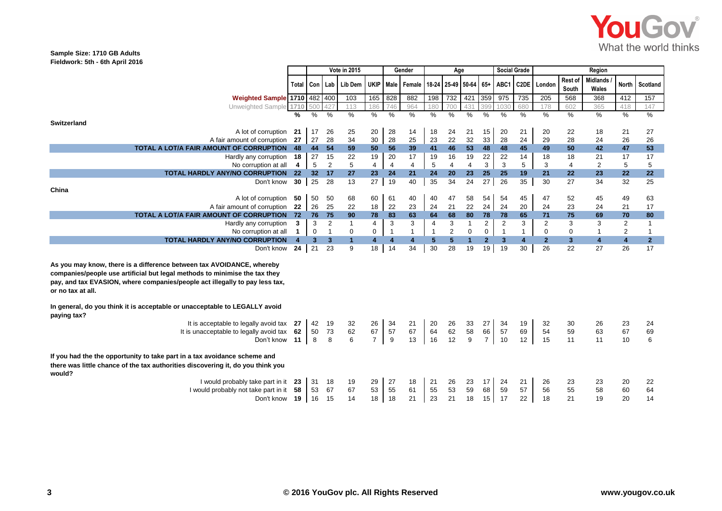

### **Sample Size: 1710 GB Adults Fieldwork: 5th - 6th April 2016**

|                                                                                                                                                                                                                                                         |               | Vote in 2015<br>Gender |                |              | Age                     |                |                                                    |                | <b>Social Grade</b>     |                | Region         |                |                 |                |                  |                          |                         |                |
|---------------------------------------------------------------------------------------------------------------------------------------------------------------------------------------------------------------------------------------------------------|---------------|------------------------|----------------|--------------|-------------------------|----------------|----------------------------------------------------|----------------|-------------------------|----------------|----------------|----------------|-----------------|----------------|------------------|--------------------------|-------------------------|----------------|
|                                                                                                                                                                                                                                                         | Total Con Lab |                        |                | Lib Dem      |                         |                | UKIP   Male   Female   18-24   25-49   50-64   65+ |                |                         |                |                | ABC1           |                 | C2DE London    | Rest of<br>South | <b>Midlands</b><br>Wales |                         | North Scotland |
| Weighted Sample 1710 482 400                                                                                                                                                                                                                            |               |                        |                | 103          | 165                     | 828            | 882                                                | 198            | 732                     | 421            | 359            | 975            | 735             | 205            | 568              | 368                      | 412                     | 157            |
| Unweighted Sample 1710                                                                                                                                                                                                                                  |               | 500                    | 427            | 113          | 186                     | 746            | 964                                                | 180            | 700                     | 431            | 399            | 1030           | 680             | 178            | 602              | 365                      | 418                     | 147            |
|                                                                                                                                                                                                                                                         | %             | %                      | %              | $\%$         | %                       | $\%$           | $\%$                                               | $\%$           | $\frac{0}{6}$           | $\frac{0}{6}$  | $\frac{0}{6}$  | %              | %               | %              | $\%$             | %                        | %                       | $\frac{9}{6}$  |
| <b>Switzerland</b>                                                                                                                                                                                                                                      |               |                        |                |              |                         |                |                                                    |                |                         |                |                |                |                 |                |                  |                          |                         |                |
| A lot of corruption                                                                                                                                                                                                                                     | 21            | 17                     | 26             | 25           | 20                      | 28             | 14                                                 | 18             | 24                      | 21             | 15             | 20             | 21              | 20             | 22               | 18                       | 21                      | 27             |
| A fair amount of corruption                                                                                                                                                                                                                             | 27            | 27                     | 28             | 34           | 30                      | 28             | 25                                                 | 23             | 22                      | 32             | 33             | 28             | 24              | 29             | 28               | 24                       | 26                      | 26             |
| TOTAL A LOT/A FAIR AMOUNT OF CORRUPTION                                                                                                                                                                                                                 | 48            | 44                     | 54             | 59           | 50                      | 56             | 39                                                 | 41             | 46                      | 53             | 48             | 48             | 45              | 49             | 50               | 42                       | 47                      | 53             |
| Hardly any corruption                                                                                                                                                                                                                                   | 18            | 27                     | 15             | 22           | 19                      | 20             | 17                                                 | 19             | 16                      | 19             | 22             | 22             | 14              | 18             | 18               | 21                       | 17                      | 17             |
| No corruption at all                                                                                                                                                                                                                                    | 4             | 5                      | $\overline{2}$ | 5            | $\overline{4}$          | $\overline{4}$ | $\overline{4}$                                     | 5              | $\overline{\mathbf{4}}$ | $\overline{4}$ | 3              | 3              | 5               | 3              | $\overline{4}$   | $\overline{2}$           | 5                       | 5              |
| <b>TOTAL HARDLY ANY/NO CORRUPTION</b>                                                                                                                                                                                                                   | 22            | 32 <sub>2</sub>        | 17             | 27           | 23                      | 24             | 21                                                 | 24             | 20                      | 23             | 25             | 25             | 19              | 21             | 22               | 23                       | 22                      | 22             |
| Don't know                                                                                                                                                                                                                                              | 30            | 25                     | 28             | 13           | 27                      | 19             | 40                                                 | 35             | 34                      | 24             | 27             | 26             | 35              | 30             | 27               | 34                       | 32                      | 25             |
| China                                                                                                                                                                                                                                                   |               |                        |                |              |                         |                |                                                    |                |                         |                |                |                |                 |                |                  |                          |                         |                |
| A lot of corruption                                                                                                                                                                                                                                     | 50            | 50                     | 50             | 68           | 60                      | 61             | 40                                                 | 40             | 47                      | 58             | 54             | 54             | 45              | 47             | 52               | 45                       | 49                      | 63             |
| A fair amount of corruption                                                                                                                                                                                                                             | 22            | 26                     | 25             | 22           | 18                      | 22             | 23                                                 | 24             | 21                      | 22             | 24             | 24             | 20              | 24             | 23               | 24                       | 21                      | 17             |
| TOTAL A LOT/A FAIR AMOUNT OF CORRUPTION                                                                                                                                                                                                                 | 72            | 76                     | 75             | 90           | 78                      | 83             | 63                                                 | 64             | 68                      | 80             | 78             | 78             | 65              | 71             | 75               | 69                       | 70                      | 80             |
| Hardly any corruption                                                                                                                                                                                                                                   | 3             | 3                      | 2              | $\mathbf{1}$ | $\overline{4}$          | 3              | 3                                                  | $\overline{4}$ | 3                       | $\mathbf{1}$   | $\overline{2}$ | $\overline{2}$ | 3               | $\overline{2}$ | 3                | 3                        | $\overline{2}$          | $\mathbf{1}$   |
| No corruption at all                                                                                                                                                                                                                                    | $\mathbf{1}$  | $\mathbf 0$            | $\overline{1}$ | 0            | 0                       | $\overline{1}$ | $\mathbf{1}$                                       | $\mathbf{1}$   | $\overline{c}$          | 0              | $\mathbf 0$    | $\overline{1}$ | $\mathbf{1}$    | $\mathbf 0$    | $\mathbf 0$      | $\mathbf{1}$             | $\overline{2}$          | $\mathbf{1}$   |
| <b>TOTAL HARDLY ANY/NO CORRUPTION</b>                                                                                                                                                                                                                   | 4             | 3 <sup>1</sup>         | 3              | $\mathbf{1}$ | $\overline{\mathbf{4}}$ | 4              | $\overline{\mathbf{4}}$                            | 5 <sup>5</sup> | 5                       | $\mathbf{1}$   | $\mathbf{2}$   | $\overline{3}$ | $\blacklozenge$ | $\overline{2}$ | 3                | $\overline{4}$           | $\overline{\mathbf{4}}$ | $\mathbf{2}$   |
| Don't know                                                                                                                                                                                                                                              | 24            | 21                     | 23             | 9            | 18                      | 14             | 34                                                 | 30             | 28                      | 19             | 19             | 19             | 30              | 26             | 22               | 27                       | 26                      | 17             |
| As you may know, there is a difference between tax AVOIDANCE, whereby<br>companies/people use artificial but legal methods to minimise the tax they<br>pay, and tax EVASION, where companies/people act illegally to pay less tax,<br>or no tax at all. |               |                        |                |              |                         |                |                                                    |                |                         |                |                |                |                 |                |                  |                          |                         |                |
| In general, do you think it is acceptable or unacceptable to LEGALLY avoid<br>paying tax?                                                                                                                                                               |               |                        |                |              |                         |                |                                                    |                |                         |                |                |                |                 |                |                  |                          |                         |                |
| It is acceptable to legally avoid tax                                                                                                                                                                                                                   | -27           | 42                     | 19             | 32           | 26                      | 34             | 21                                                 | 20             | 26                      | 33             | 27             | 34             | 19              | 32             | 30               | 26                       | 23                      | 24             |
| It is unacceptable to legally avoid tax                                                                                                                                                                                                                 | 62            | 50                     | 73             | 62           | 67                      | 57             | 67                                                 | 64             | 62                      | 58             | 66             | 57             | 69              | 54             | 59               | 63                       | 67                      | 69             |
| Don't know                                                                                                                                                                                                                                              | 11            | 8                      | 8              | 6            | $\overline{7}$          | 9              | 13                                                 | 16             | 12                      | 9              | $\overline{7}$ | 10             | 12              | 15             | 11               | 11                       | 10                      | 6              |
| If you had the the opportunity to take part in a tax avoidance scheme and<br>there was little chance of the tax authorities discovering it, do you think you<br>would?                                                                                  |               |                        |                |              |                         |                |                                                    |                |                         |                |                |                |                 |                |                  |                          |                         |                |
| I would probably take part in it                                                                                                                                                                                                                        | 23            | 31                     | 18             | 19           | 29                      | 27             | 18                                                 | 21             | 26                      | 23             | 17             | 24             | 21              | 26             | 23               | 23                       | 20                      | 22             |
| I would probably not take part in it                                                                                                                                                                                                                    | 58            | 53                     | 67             | 67           | 53                      | 55             | 61                                                 | 55             | 53                      | 59             | 68             | 59             | 57              | 56             | 55               | 58                       | 60                      | 64             |
| Don't know                                                                                                                                                                                                                                              | 19            | 16                     | 15             | 14           | 18                      | 18             | 21                                                 | 23             | 21                      | 18             | 15             | 17             | 22              | 18             | 21               | 19                       | 20                      | 14             |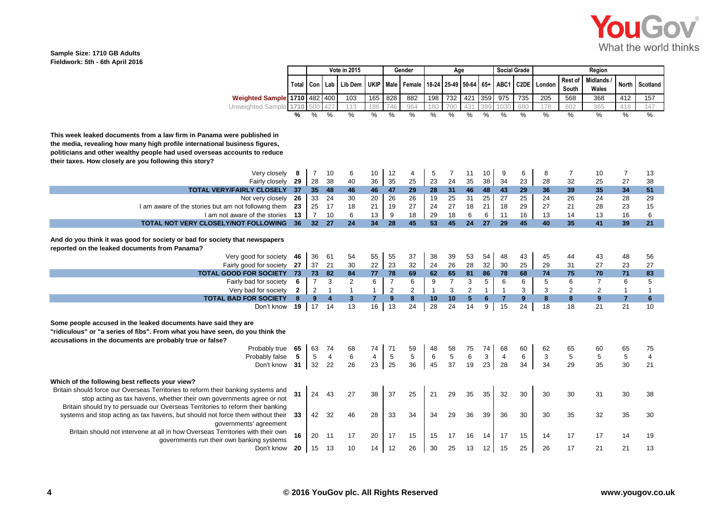

#### **Sample Size: 1710 GB Adults Fieldwork: 5th - 6th April 2016**

|                                                                                                                                                                                                                                                                                             |                   | Vote in 2015<br>Gender |                                  |                                |                               | Age                 |                                       |                     |                |                              | <b>Social Grade</b>            | Region                         |                   |        |                  |                          |                                |                                |
|---------------------------------------------------------------------------------------------------------------------------------------------------------------------------------------------------------------------------------------------------------------------------------------------|-------------------|------------------------|----------------------------------|--------------------------------|-------------------------------|---------------------|---------------------------------------|---------------------|----------------|------------------------------|--------------------------------|--------------------------------|-------------------|--------|------------------|--------------------------|--------------------------------|--------------------------------|
|                                                                                                                                                                                                                                                                                             | Total I           | Con                    | Lab                              | Lib Dem                        | <b>UKIP</b>                   |                     | Male   Female   18-24   25-49   50-64 |                     |                |                              | $65+$                          | ABC1                           | C <sub>2</sub> DE | London | Rest of<br>South | <b>Midlands</b><br>Wales | <b>North</b>                   | Scotland                       |
| Weighted Sample 1710 482                                                                                                                                                                                                                                                                    |                   |                        | 400                              | 103                            | 165                           | 828                 | 882                                   | 198                 | 732            | 421                          | 359                            | 975                            | 735               | 205    | 568              | 368                      | 412                            | 157                            |
| Unweighted Sample 1710                                                                                                                                                                                                                                                                      |                   | 50C                    | 427                              | 113                            | 186                           |                     | 964                                   | 180                 | 700            | 431                          | 399                            | 1030                           | 680               | 178    | 602              | 365                      | 418                            | 147                            |
|                                                                                                                                                                                                                                                                                             | %                 |                        | $\%$                             | $\frac{9}{6}$                  | %                             | %                   | %                                     | %                   | %              | %                            | $\frac{0}{6}$                  | $\frac{9}{6}$                  | %                 | %      | %                | %                        | %                              | $\frac{9}{6}$                  |
| This week leaked documents from a law firm in Panama were published in<br>the media, revealing how many high profile international business figures,<br>politicians and other wealthy people had used overseas accounts to reduce<br>their taxes. How closely are you following this story? |                   |                        |                                  |                                |                               |                     |                                       |                     |                |                              |                                |                                |                   |        |                  |                          |                                |                                |
| Very closely                                                                                                                                                                                                                                                                                | 8                 | $\overline{7}$         | 10                               | 6                              | 10                            | 12                  | $\overline{4}$                        | 5                   | 7              | 11                           | 10                             | 9                              | 6                 | 8      | $\overline{7}$   | 10                       | $\overline{7}$                 | 13                             |
| Fairly closely                                                                                                                                                                                                                                                                              | 29                | 28                     | 38                               | 40                             | 36                            | 35                  | 25                                    | 23                  | 24             | 35                           | 38                             | 34                             | 23                | 28     | 32               | 25                       | 27                             | 38                             |
| <b>TOTAL VERY/FAIRLY CLOSELY</b>                                                                                                                                                                                                                                                            | 37                | 35 <sub>5</sub>        | 48                               | 46                             | 46                            | 47                  | 29                                    | 28                  | 31             | 46                           | 48                             | 43                             | 29                | 36     | 39               | 35                       | 34                             | 51                             |
| Not very closely                                                                                                                                                                                                                                                                            | 26                | 33                     | 24                               | 30                             | 20                            | 26                  | 26                                    | 19                  | 25             | 31                           | 25                             | 27                             | 25                | 24     | 26               | 24                       | 28                             | 29                             |
| I am aware of the stories but am not following them                                                                                                                                                                                                                                         | 23                | 25                     | 17                               | 18                             | 21                            | 19                  | 27                                    | 24                  | 27             | 18                           | 21                             | 18                             | 29                | 27     | 21               | 28                       | 23                             | 15                             |
| I am not aware of the stories                                                                                                                                                                                                                                                               | 13                | $\overline{7}$         | 10                               | 6                              | 13                            | 9                   | 18                                    | 29                  | 18             | $6\phantom{1}$               | 6                              | 11                             | 16                | 13     | 14               | 13                       | 16                             | 6                              |
| <b>TOTAL NOT VERY CLOSELY/NOT FOLLOWING</b>                                                                                                                                                                                                                                                 | 36                | 32 <sub>2</sub>        | 27                               | 24                             | 34                            | 28                  | 45                                    | 53                  | 45             | 24                           | 27                             | 29                             | 45                | 40     | 35               | 41                       | 39                             | 21                             |
| And do you think it was good for society or bad for society that newspapers<br>reported on the leaked documents from Panama?                                                                                                                                                                |                   |                        |                                  |                                |                               |                     |                                       |                     |                |                              |                                |                                |                   |        |                  |                          |                                |                                |
| Very good for society                                                                                                                                                                                                                                                                       | 46                | 36                     | 61                               | 54                             | 55                            | 55                  | 37                                    | 38                  | 39             | 53                           | 54                             | 48                             | 43                | 45     | 44               | 43                       | 48                             | 56                             |
| Fairly good for society                                                                                                                                                                                                                                                                     | 27                | 37                     | 21                               | 30                             | 22                            | 23                  | 32                                    | 24                  | 26             | 28                           | 32                             | 30                             | 25                | 29     | 31               | 27                       | 23                             | 27                             |
| <b>TOTAL GOOD FOR SOCIETY</b>                                                                                                                                                                                                                                                               | 73                | 73                     | 82                               | 84                             | 77                            | 78                  | 69                                    | 62                  | 65             | 81                           | 86                             | 78                             | 68                | 74     | 75               | 70                       | 71                             | 83                             |
| Fairly bad for society                                                                                                                                                                                                                                                                      | 6                 | $\overline{7}$         | 3                                | $\overline{2}$                 | 6                             | $\overline{7}$      | 6                                     | 9<br>$\overline{1}$ | $\overline{7}$ | $\ensuremath{\mathsf{3}}$    | $\sqrt{5}$                     | 6                              | 6                 | 5      | 6                | $\overline{7}$           | 6                              | $\mathbf 5$                    |
| Very bad for society<br><b>TOTAL BAD FOR SOCIETY</b>                                                                                                                                                                                                                                        | $\mathbf{2}$<br>8 | $\overline{c}$<br>9    | $\overline{1}$<br>$\overline{4}$ | $\mathbf{1}$<br>3 <sup>2</sup> | $\mathbf 1$<br>$\overline{7}$ | $\overline{2}$<br>9 | 2<br>8                                | 10                  | 3<br>10        | $\sqrt{2}$<br>$5\phantom{1}$ | $\mathbf{1}$<br>$6\phantom{1}$ | $\mathbf{1}$<br>$\overline{7}$ | 3<br>9            | 3<br>8 | 2<br>8           | 2<br>9                   | $\mathbf{1}$<br>$\overline{7}$ | $\mathbf{1}$<br>$6\phantom{1}$ |
| Don't know                                                                                                                                                                                                                                                                                  | 19                | 17<br>$\mathbf{I}$     | 14                               | 13                             | 16                            | 13                  | 24                                    | 28                  | 24             | 14                           | 9                              | 15                             | 24                | 18     | 18               | 21                       | 21                             | 10                             |
|                                                                                                                                                                                                                                                                                             |                   |                        |                                  |                                |                               |                     |                                       |                     |                |                              |                                |                                |                   |        |                  |                          |                                |                                |
| Some people accused in the leaked documents have said they are<br>"ridiculous" or "a series of fibs". From what you have seen, do you think the<br>accusations in the documents are probably true or false?                                                                                 |                   |                        |                                  |                                |                               |                     |                                       |                     |                |                              |                                |                                |                   |        |                  |                          |                                |                                |
| Probably true                                                                                                                                                                                                                                                                               | 65                | 63                     | 74                               | 68                             | 74                            | 71                  | 59                                    | 48                  | 58             | 75                           | 74                             | 68                             | 60                | 62     | 65               | 60                       | 65                             | 75                             |
| Probably false                                                                                                                                                                                                                                                                              | 5                 | 5                      | $\overline{4}$                   | 6                              | $\overline{\mathbf{4}}$       | $\,$ 5 $\,$         | 5                                     | 6                   | $\sqrt{5}$     | $\,6$                        | 3                              | $\overline{4}$                 | 6                 | 3      | 5                | 5                        | $\sqrt{5}$                     | $\overline{4}$                 |
| Don't know                                                                                                                                                                                                                                                                                  | 31                | 32                     | 22                               | 26                             | 23                            | 25                  | 36                                    | 45                  | 37             | 19                           | 23                             | 28                             | 34                | 34     | 29               | 35                       | 30                             | 21                             |
| Which of the following best reflects your view?                                                                                                                                                                                                                                             |                   |                        |                                  |                                |                               |                     |                                       |                     |                |                              |                                |                                |                   |        |                  |                          |                                |                                |
| Britain should force our Overseas Territories to reform their banking systems and<br>stop acting as tax havens, whether their own governments agree or not<br>Britain should try to persuade our Overseas Territories to reform their banking                                               | 31                | 24                     | 43                               | 27                             | 38                            | 37                  | 25                                    | 21                  | 29             | 35                           | 35                             | 32                             | 30                | 30     | 30               | 31                       | 30                             | 38                             |
| systems and stop acting as tax havens, but should not force them without their<br>governments' agreement                                                                                                                                                                                    | -33               | 42                     | 32                               | 46                             | 28                            | 33                  | 34                                    | 34                  | 29             | 36                           | 39                             | 36                             | 30                | 30     | 35               | 32                       | 35                             | 30                             |
| Britain should not intervene at all in how Overseas Territories with their own<br>governments run their own banking systems                                                                                                                                                                 | 16                | 20                     | -11                              | 17                             | 20                            | 17                  | 15                                    | 15                  | 17             | 16                           | 14                             | 17                             | 15                | 14     | 17               | 17                       | 14                             | 19                             |
| Don't know                                                                                                                                                                                                                                                                                  | 20                | 15                     | 13                               | 10                             | 14                            | 12                  | 26                                    | 30                  | 25             | 13                           | 12                             | 15                             | 25                | 26     | 17               | 21                       | 21                             | 13                             |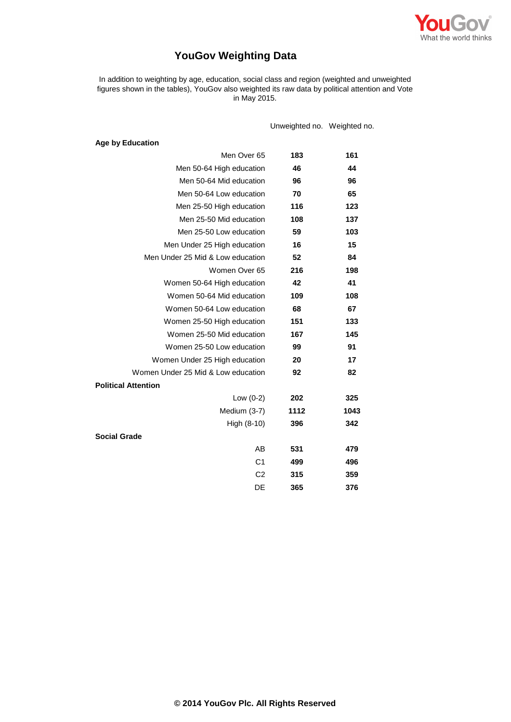

# **YouGov Weighting Data**

In addition to weighting by age, education, social class and region (weighted and unweighted figures shown in the tables), YouGov also weighted its raw data by political attention and Vote in May 2015.

Unweighted no. Weighted no.

| <b>Age by Education</b>            |      |      |
|------------------------------------|------|------|
| Men Over 65                        | 183  | 161  |
| Men 50-64 High education           | 46   | 44   |
| Men 50-64 Mid education            | 96   | 96   |
| Men 50-64 Low education            | 70   | 65   |
| Men 25-50 High education           | 116  | 123  |
| Men 25-50 Mid education            | 108  | 137  |
| Men 25-50 Low education            | 59   | 103  |
| Men Under 25 High education        | 16   | 15   |
| Men Under 25 Mid & Low education   | 52   | 84   |
| Women Over 65                      | 216  | 198  |
| Women 50-64 High education         | 42   | 41   |
| Women 50-64 Mid education          | 109  | 108  |
| Women 50-64 Low education          | 68   | 67   |
| Women 25-50 High education         | 151  | 133  |
| Women 25-50 Mid education          | 167  | 145  |
| Women 25-50 Low education          | 99   | 91   |
| Women Under 25 High education      | 20   | 17   |
| Women Under 25 Mid & Low education | 92   | 82   |
| <b>Political Attention</b>         |      |      |
| Low $(0-2)$                        | 202  | 325  |
| Medium (3-7)                       | 1112 | 1043 |
| High (8-10)                        | 396  | 342  |
| <b>Social Grade</b>                |      |      |
| AB                                 | 531  | 479  |
| C <sub>1</sub>                     | 499  | 496  |
| C <sub>2</sub>                     | 315  | 359  |
| DE                                 | 365  | 376  |